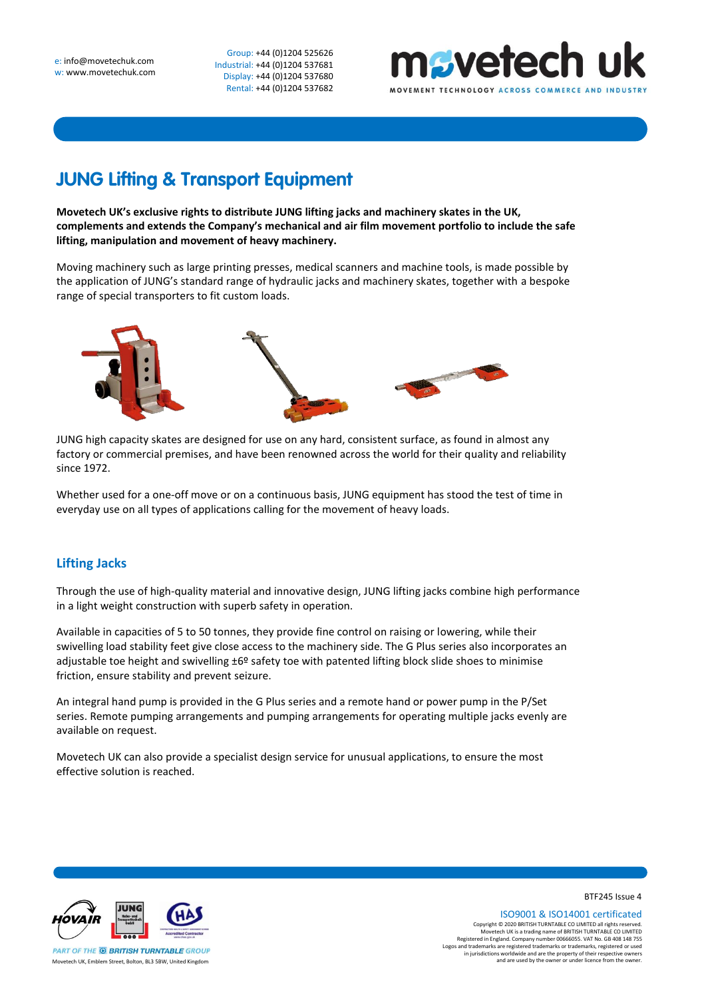Group: +44 (0)1204 525626 Industrial: +44 (0)1204 537681 Display: +44 (0)1204 537680 Rental: +44 (0)1204 537682



## **JUNG Lifting & Transport Equipment**

**Movetech UK's exclusive rights to distribute JUNG lifting jacks and machinery skates in the UK, complements and extends the Company's mechanical and air film movement portfolio to include the safe lifting, manipulation and movement of heavy machinery.**

Moving machinery such as large printing presses, medical scanners and machine tools, is made possible by the application of JUNG's standard range of hydraulic jacks and machinery skates, together with a bespoke range of special transporters to fit custom loads.



JUNG high capacity skates are designed for use on any hard, consistent surface, as found in almost any factory or commercial premises, and have been renowned across the world for their quality and reliability since 1972.

Whether used for a one-off move or on a continuous basis, JUNG equipment has stood the test of time in everyday use on all types of applications calling for the movement of heavy loads.

## **Lifting Jacks**

Through the use of high-quality material and innovative design, JUNG lifting jacks combine high performance in a light weight construction with superb safety in operation.

Available in capacities of 5 to 50 tonnes, they provide fine control on raising or lowering, while their swivelling load stability feet give close access to the machinery side. The G Plus series also incorporates an adjustable toe height and swivelling  $\pm 6^{\circ}$  safety toe with patented lifting block slide shoes to minimise friction, ensure stability and prevent seizure.

An integral hand pump is provided in the G Plus series and a remote hand or power pump in the P/Set series. Remote pumping arrangements and pumping arrangements for operating multiple jacks evenly are available on request.

Movetech UK can also provide a specialist design service for unusual applications, to ensure the most effective solution is reached.



BTF245 Issue 4

ISO9001 & ISO14001 certificated Copyright © 2020 BRITISH TURNTABLE CO LIMITED all rights reserved.<br>Movetech UK is a trading name of BRITISH TURNTABLE CO LIMITED<br>Registered in England. Company number 00666055. VAT No. GB 408 148 755<br>Logos and trademarks a